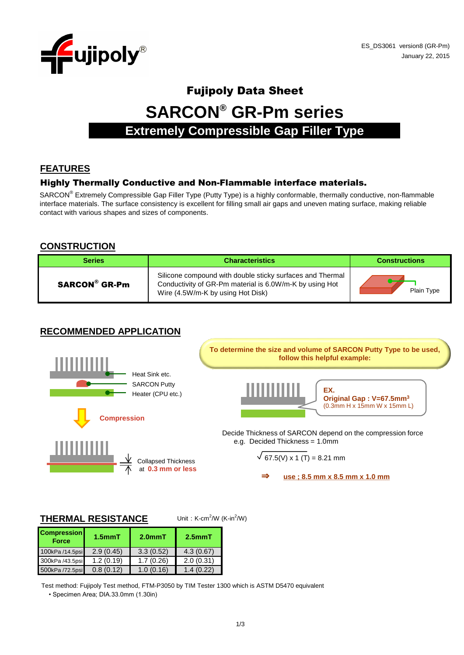

# Fujipoly Data Sheet **SARCON® GR-Pm series Extremely Compressible Gap Filler Type**

# **FEATURES**

#### Highly Thermally Conductive and Non-Flammable interface materials.

SARCON<sup>®</sup> Extremely Compressible Gap Filler Type (Putty Type) is a highly conformable, thermally conductive, non-flammable interface materials. The surface consistency is excellent for filling small air gaps and uneven mating surface, making reliable contact with various shapes and sizes of components.

#### **CONSTRUCTION**

| <b>Series</b> | <b>Characteristics</b>                                                                                                                                    |            |
|---------------|-----------------------------------------------------------------------------------------------------------------------------------------------------------|------------|
| SARCON® GR-Pm | Silicone compound with double sticky surfaces and Thermal<br>Conductivity of GR-Pm material is 6.0W/m-K by using Hot<br>Wire (4.5W/m-K by using Hot Disk) | Plain Type |

### **RECOMMENDED APPLICATION**



#### **THERMAL RESISTANCE**

Unit:  $K$ -cm<sup>2</sup>/W ( $K$ -in<sup>2</sup>/W)

| <b>Compression</b><br><b>Force</b> | $1.5$ mm $T$ | $2.0mm$ T | $2.5mm$ T |
|------------------------------------|--------------|-----------|-----------|
| 100kPa /14.5psi                    | 2.9(0.45)    | 3.3(0.52) | 4.3(0.67) |
| 300kPa /43.5psi                    | 1.2(0.19)    | 1.7(0.26) | 2.0(0.31) |
| 500kPa /72.5psi                    | 0.8(0.12)    | 1.0(0.16) | 1.4(0.22) |

Test method: Fujipoly Test method, FTM-P3050 by TIM Tester 1300 which is ASTM D5470 equivalent

• Specimen Area; DIA.33.0mm (1.30in)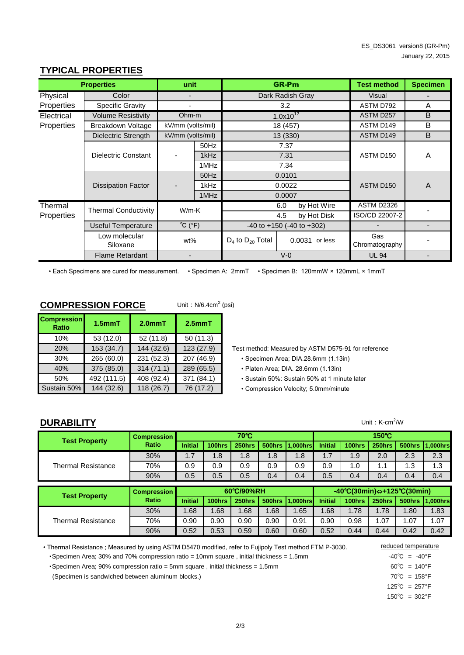| <b>Properties</b>                     |                             | unit                        |      | <b>GR-Pm</b>                        |                    | <b>Test method</b>    | <b>Specimen</b> |
|---------------------------------------|-----------------------------|-----------------------------|------|-------------------------------------|--------------------|-----------------------|-----------------|
| Physical                              | Color                       |                             |      | Dark Radish Gray                    |                    | Visual                |                 |
| Properties<br><b>Specific Gravity</b> |                             |                             |      | 3.2                                 |                    | ASTM D792             | A               |
| Electrical                            | Volume Resistivity          | Ohm-m                       |      |                                     | $1.0x10^{12}$      | ASTM D257             | B               |
| Properties                            | Breakdown Voltage           | kV/mm (volts/mil)           |      | 18 (457)                            |                    | ASTM D149             | B               |
|                                       | Dielectric Strength         | kV/mm (volts/mil)           |      | 13 (330)                            |                    | ASTM D149             | B               |
|                                       | Dielectric Constant         |                             | 50Hz |                                     | 7.37               |                       | A               |
|                                       |                             |                             | 1kHz |                                     | 7.31               | ASTM D150             |                 |
|                                       |                             |                             | 1MHz |                                     | 7.34               |                       |                 |
|                                       |                             |                             | 50Hz |                                     | 0.0101             |                       | A               |
|                                       | <b>Dissipation Factor</b>   |                             | 1kHz |                                     | 0.0022             | ASTM D150             |                 |
|                                       |                             |                             | 1MHz |                                     | 0.0007             |                       |                 |
| Thermal                               | <b>Thermal Conductivity</b> | $W/m-K$                     |      |                                     | by Hot Wire<br>6.0 | ASTM D2326            |                 |
| Properties                            |                             |                             |      |                                     | by Hot Disk<br>4.5 | ISO/CD 22007-2        |                 |
|                                       | Useful Temperature          | $^{\circ}C$ ( $^{\circ}F$ ) |      | $-40$ to $+150$ ( $-40$ to $+302$ ) |                    |                       | -               |
|                                       | Low molecular<br>Siloxane   | wt%                         |      | $D_4$ to $D_{20}$ Total             | 0.0031 or less     | Gas<br>Chromatography |                 |
| <b>Flame Retardant</b>                |                             |                             |      |                                     | $V-0$              | <b>UL 94</b>          |                 |

### **TYPICAL PROPERTIES**

• Each Specimens are cured for measurement. • Specimen A: 2mmT • Specimen B: 120mmW × 120mmL × 1mmT

Unit:  $N/6.4$ cm<sup>2</sup> (psi)

#### **COMPRESSION FORCE**

| <b>Compression</b><br><b>Ratio</b> | $1.5$ mm $T$ | $2.0mm$ T  | $2.5mm$ T  |  |
|------------------------------------|--------------|------------|------------|--|
| 10%                                | 53 (12.0)    | 52(11.8)   | 50(11.3)   |  |
| 20%                                | 153 (34.7)   | 144(32.6)  | 123(27.9)  |  |
| 30%                                | 265 (60.0)   | 231 (52.3) | 207 (46.9) |  |
| 40%                                | 375 (85.0)   | 314(71.1)  | 289 (65.5) |  |
| 50%                                | 492 (111.5)  | 408 (92.4) | 371 (84.1) |  |
| Sustain 50%                        | 144 (32.6)   | 118 (26.7) | 76 (17.2)  |  |

- Test method: Measured by ASTM D575-91 for reference
	- Specimen Area; DIA.28.6mm (1.13in)
	- Platen Area; DIA. 28.6mm (1.13in)
	- Sustain 50%: Sustain 50% at 1 minute later
	- Compression Velocity; 5.0mm/minute

#### **DURABILITY**

**Test Property Compression Ratio** Thermal Resistance 30% 70% 90% 1.68 1.68 0.44 0.44 0.42 0.42 0.90 0.90 0.90 0.90 0.91 0.90 0.98  $1.0$  1.1 0.5 0.4 1.78 1.80 1.83 1.07 | 1.07 1.7 **Initial** 0.5 **250hrs 500hrs 1,000hrs -40**℃**(30min)**⇔**+125**℃**(30min) 100hrs 250hrs 500hrs 1,000hrs 60**℃**/90%RH** 0.4 1.9  $1.3$  1.3 2.0 2.3 2.3 0.9 0.9 0.9 0.9 0.9 1.68 1.65 1.68 0.52 0.90 0.5 0.5 0.5 0.4 0.4 0.5 0.4 0.4 0.4 0.4 0.4 **Initial 100hrs**  $0.53$  0.59 0.60 0.60 0.52 1.68 Thermal Resistance 30% 70% 90% 0.9 1.7 | 1.8 | 1.8 **70**℃ **150**℃ **Initial 100hrs 250hrs 500hrs 1,000hrs Initial 100hrs 250hrs 500hrs 1,000hrs** 1.8 1.8 **Test Property Compression Ratio**

•Specimen Area; 30% and 70% compression ratio = 10mm square, initial thickness = 1.5mm  $40^{\circ}C = -40^{\circ}F$ • Thermal Resistance ; Measured by using ASTM D5470 modified, refer to Fujipoly Test method FTM P-3030.

•Specimen Area; 90% compression ratio = 5mm square , initial thickness = 1.5mm 60°C = 140°F

(Specimen is sandwiched between aluminum blocks.) 70℃ = 158°F

reduced temperature

 $125^{\circ}C = 257^{\circ}F$ 

 $150^{\circ}$ C = 302 $^{\circ}$ F

Unit:  $K-cm^2/W$